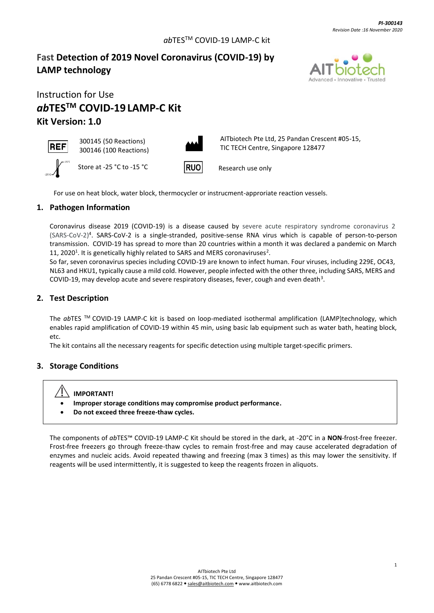# **Fast Detection of 2019 Novel Coronavirus (COVID-19) by LAMP technology**



# Instruction for Use *ab***TESTM COVID-19 LAMP-C Kit Kit Version: 1.0**





300145 (50 Reactions)

AITbiotech Pte Ltd, 25 Pandan Crescent #05-15, TIC TECH Centre, Singapore 128477

Research use only

For use on heat block, water block, thermocycler or instrucment-approriate reaction vessels.

### **1. Pathogen Information**

Coronavirus disease 2019 (COVID-19) is a disease caused by severe acute respiratory syndrome coronavirus 2 (SARS-CoV-2)<sup>4</sup> . SARS-CoV-2 is a single-stranded, positive-sense RNA virus which is capable of person-to-person transmission. COVID-19 has spread to more than 20 countries within a month it was declared a pandemic on March 11, 2020<sup>1</sup>. It is genetically highly related to SARS and MERS coronaviruses<sup>2</sup>.

So far, seven coronavirus species including COVID-19 are known to infect human. Four viruses, including 229E, OC43, NL63 and HKU1, typically cause a mild cold. However, people infected with the other three, including SARS, MERS and COVID-19, may develop acute and severe respiratory diseases, fever, cough and even death<sup>3</sup>.

### **2. Test Description**

The *ab*TES TM COVID-19 LAMP-C kit is based on loop-mediated isothermal amplification (LAMP)technology, which enables rapid amplification of COVID-19 within 45 min, using basic lab equipment such as water bath, heating block, etc.

The kit contains all the necessary reagents for specific detection using multiple target-specific primers.

#### **3. Storage Conditions**

# **IMPORTANT!**

- **Improper storage conditions may compromise product performance.**
- **Do not exceed three freeze-thaw cycles.**

The components of *ab*TES™ COVID-19 LAMP-C Kit should be stored in the dark, at -20°C in a **NON**-frost-free freezer. Frost-free freezers go through freeze-thaw cycles to remain frost-free and may cause accelerated degradation of enzymes and nucleic acids. Avoid repeated thawing and freezing (max 3 times) as this may lower the sensitivity. If reagents will be used intermittently, it is suggested to keep the reagents frozen in aliquots.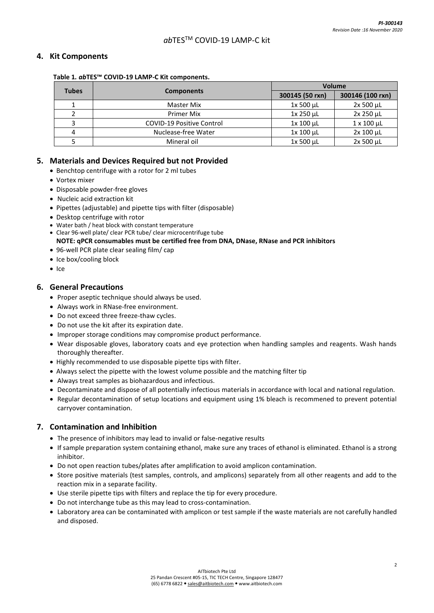#### **4. Kit Components**

#### **Table 1***. ab***TES™ COVID-19 LAMP-C Kit components.**

| <b>Tubes</b> | <b>Components</b>                | <b>Volume</b>    |                      |
|--------------|----------------------------------|------------------|----------------------|
|              |                                  | 300145 (50 rxn)  | 300146 (100 rxn)     |
|              | <b>Master Mix</b>                | 1x 500 µL        | $2x 500 \mu L$       |
|              | Primer Mix                       | $1x$ 250 $\mu$ L | 2x 250 µL            |
|              | <b>COVID-19 Positive Control</b> | $1x 100 \mu L$   | $1 \times 100 \mu L$ |
| 4            | Nuclease-free Water              | 1x 100 µL        | $2x 100 \mu L$       |
|              | Mineral oil                      | $1x 500 \mu L$   | $2x 500 \mu L$       |

#### **5. Materials and Devices Required but not Provided**

- Benchtop centrifuge with a rotor for 2 ml tubes
- Vortex mixer
- Disposable powder-free gloves
- Nucleic acid extraction kit
- Pipettes (adjustable) and pipette tips with filter (disposable)
- Desktop centrifuge with rotor
- Water bath / heat block with constant temperature
- Clear 96-well plate/ clear PCR tube/ clear microcentrifuge tube **NOTE: qPCR consumables must be certified free from DNA, DNase, RNase and PCR inhibitors**
- 96-well PCR plate clear sealing film/ cap
- Ice box/cooling block
- Ice

#### **6. General Precautions**

- Proper aseptic technique should always be used.
- Always work in RNase-free environment.
- Do not exceed three freeze-thaw cycles.
- Do not use the kit after its expiration date.
- Improper storage conditions may compromise product performance.
- Wear disposable gloves, laboratory coats and eye protection when handling samples and reagents. Wash hands thoroughly thereafter.
- Highly recommended to use disposable pipette tips with filter.
- Always select the pipette with the lowest volume possible and the matching filter tip
- Always treat samples as biohazardous and infectious.
- Decontaminate and dispose of all potentially infectious materials in accordance with local and national regulation.
- Regular decontamination of setup locations and equipment using 1% bleach is recommened to prevent potential carryover contamination.

#### **7. Contamination and Inhibition**

- The presence of inhibitors may lead to invalid or false-negative results
- If sample preparation system containing ethanol, make sure any traces of ethanol is eliminated. Ethanol is a strong inhibitor.
- Do not open reaction tubes/plates after amplification to avoid amplicon contamination.
- Store positive materials (test samples, controls, and amplicons) separately from all other reagents and add to the reaction mix in a separate facility.
- Use sterile pipette tips with filters and replace the tip for every procedure.
- Do not interchange tube as this may lead to cross-contamination.
- Laboratory area can be contaminated with amplicon or test sample if the waste materials are not carefully handled and disposed.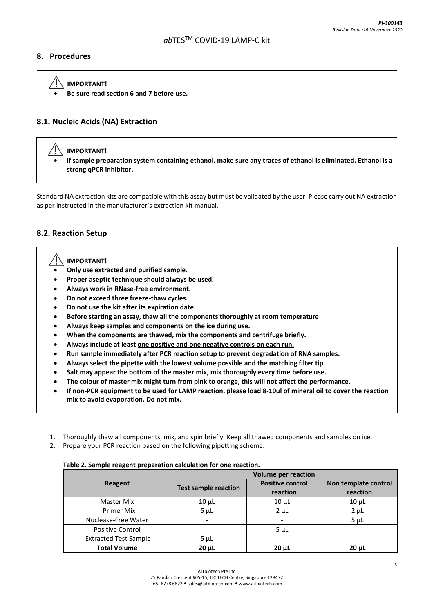#### **8. Procedures**

 **IMPORTANT!**  • **Be sure read section 6 and 7 before use.**

# **8.1. Nucleic Acids (NA) Extraction**

# **IMPORTANT!**

• **If sample preparation system containing ethanol, make sure any traces of ethanol is eliminated. Ethanol is a strong qPCR inhibitor.**

Standard NA extraction kits are compatible with this assay but must be validated by the user. Please carry out NA extraction as per instructed in the manufacturer's extraction kit manual.

#### **8.2. Reaction Setup**

#### **IMPORTANT!**

- **Only use extracted and purified sample.**
- **Proper aseptic technique should always be used.**
- **Always work in RNase-free environment.**
- **Do not exceed three freeze-thaw cycles.**
- **Do not use the kit after its expiration date.**
- **Before starting an assay, thaw all the components thoroughly at room temperature**
- **Always keep samples and components on the ice during use.**
- **When the components are thawed, mix the components and centrifuge briefly.**
- **Always include at least one positive and one negative controls on each run.**
- **Run sample immediately after PCR reaction setup to prevent degradation of RNA samples.**
- **Always select the pipette with the lowest volume possible and the matching filter tip**
- **Salt may appear the bottom of the master mix, mix thoroughly every time before use.**
- **The colour of master mix might turn from pink to orange, this will not affect the performance.**
- **If non-PCR equipment to be used for LAMP reaction, please load 8-10ul of mineral oil to cover the reaction mix to avoid evaporation. Do not mix.**
- 1. Thoroughly thaw all components, mix, and spin briefly. Keep all thawed components and samples on ice.
- 2. Prepare your PCR reaction based on the following pipetting scheme:

#### **Table 2. Sample reagent preparation calculation for one reaction.**

|                              | <b>Volume per reaction</b>  |                         |                      |
|------------------------------|-----------------------------|-------------------------|----------------------|
| Reagent                      | <b>Test sample reaction</b> | <b>Positive control</b> | Non template control |
|                              |                             | reaction                | reaction             |
| Master Mix                   | $10 \mu L$                  | $10 \mu L$              | $10 \mu L$           |
| <b>Primer Mix</b>            | $5 \mu L$                   | $2 \mu L$               | $2 \mu L$            |
| Nuclease-Free Water          |                             |                         | 5 <sub>µ</sub>       |
| <b>Positive Control</b>      |                             | $5 \mu L$               |                      |
| <b>Extracted Test Sample</b> | $5 \mu L$                   |                         |                      |
| <b>Total Volume</b>          | $20 \mu L$                  | $20 \mu L$              | $20 \mu L$           |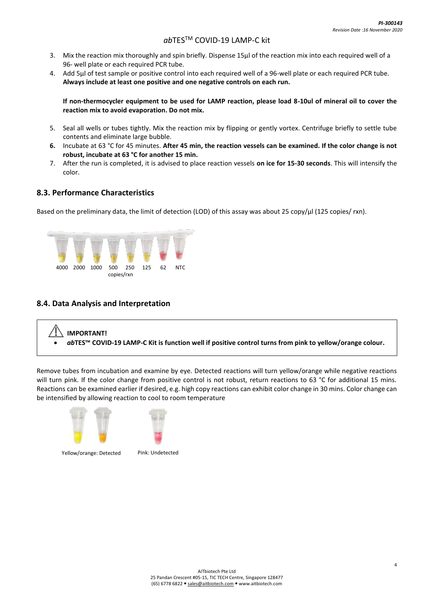- 3. Mix the reaction mix thoroughly and spin briefly. Dispense 15μl of the reaction mix into each required well of a 96- well plate or each required PCR tube.
- 4. Add 5μl of test sample or positive control into each required well of a 96-well plate or each required PCR tube. **Always include at least one positive and one negative controls on each run.**

**If non-thermocycler equipment to be used for LAMP reaction, please load 8-10ul of mineral oil to cover the reaction mix to avoid evaporation. Do not mix.**

- 5. Seal all wells or tubes tightly. Mix the reaction mix by flipping or gently vortex. Centrifuge briefly to settle tube contents and eliminate large bubble.
- **6.** Incubate at 63 °C for 45 minutes. **After 45 min, the reaction vessels can be examined. If the color change is not robust, incubate at 63 °C for another 15 min.**
- 7. After the run is completed, it is advised to place reaction vessels **on ice for 15-30 seconds**. This will intensify the color.

### **8.3. Performance Characteristics**

Based on the preliminary data, the limit of detection (LOD) of this assay was about 25 copy/µl (125 copies/ rxn).



#### **8.4. Data Analysis and Interpretation**

# **IMPORTANT!** • *ab***TES™ COVID-19 LAMP-C Kit is function well if positive control turns from pink to yellow/orange colour.**

Remove tubes from incubation and examine by eye. Detected reactions will turn yellow/orange while negative reactions will turn pink. If the color change from positive control is not robust, return reactions to 63 °C for additional 15 mins. Reactions can be examined earlier if desired, e.g. high copy reactions can exhibit color change in 30 mins. Color change can be intensified by allowing reaction to cool to room temperature



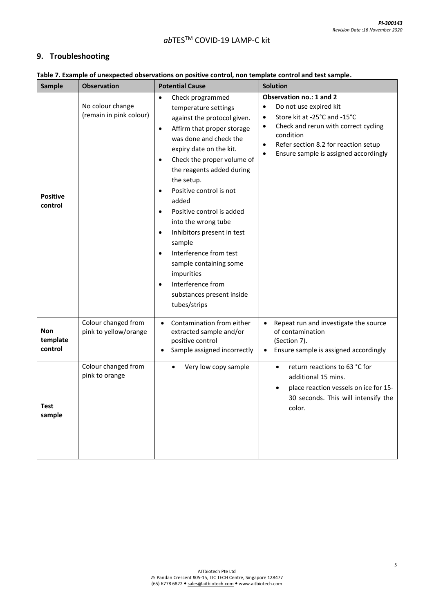# **9. Troubleshooting**

| <b>Sample</b>                     | <b>Observation</b>                           | <b>Potential Cause</b>                                                                                                                                                                                                                                                                                                                                                                                                                                                                                                                                                                             | <b>Solution</b>                                                                                                                                                                                                                                                                           |  |
|-----------------------------------|----------------------------------------------|----------------------------------------------------------------------------------------------------------------------------------------------------------------------------------------------------------------------------------------------------------------------------------------------------------------------------------------------------------------------------------------------------------------------------------------------------------------------------------------------------------------------------------------------------------------------------------------------------|-------------------------------------------------------------------------------------------------------------------------------------------------------------------------------------------------------------------------------------------------------------------------------------------|--|
| <b>Positive</b><br>control        | No colour change<br>(remain in pink colour)  | Check programmed<br>$\bullet$<br>temperature settings<br>against the protocol given.<br>Affirm that proper storage<br>$\bullet$<br>was done and check the<br>expiry date on the kit.<br>Check the proper volume of<br>$\bullet$<br>the reagents added during<br>the setup.<br>Positive control is not<br>added<br>Positive control is added<br>$\bullet$<br>into the wrong tube<br>Inhibitors present in test<br>$\bullet$<br>sample<br>Interference from test<br>$\bullet$<br>sample containing some<br>impurities<br>Interference from<br>$\bullet$<br>substances present inside<br>tubes/strips | Observation no.: 1 and 2<br>Do not use expired kit<br>$\bullet$<br>Store kit at -25°C and -15°C<br>$\bullet$<br>Check and rerun with correct cycling<br>$\bullet$<br>condition<br>Refer section 8.2 for reaction setup<br>$\bullet$<br>Ensure sample is assigned accordingly<br>$\bullet$ |  |
| <b>Non</b><br>template<br>control | Colour changed from<br>pink to yellow/orange | Contamination from either<br>$\bullet$<br>extracted sample and/or<br>positive control<br>Sample assigned incorrectly<br>٠                                                                                                                                                                                                                                                                                                                                                                                                                                                                          | Repeat run and investigate the source<br>$\bullet$<br>of contamination<br>(Section 7).<br>Ensure sample is assigned accordingly                                                                                                                                                           |  |
| <b>Test</b><br>sample             | Colour changed from<br>pink to orange        | Very low copy sample                                                                                                                                                                                                                                                                                                                                                                                                                                                                                                                                                                               | return reactions to 63 °C for<br>$\bullet$<br>additional 15 mins.<br>place reaction vessels on ice for 15-<br>$\bullet$<br>30 seconds. This will intensify the<br>color.                                                                                                                  |  |

### **Table 7. Example of unexpected observations on positive control, non template control and test sample.**